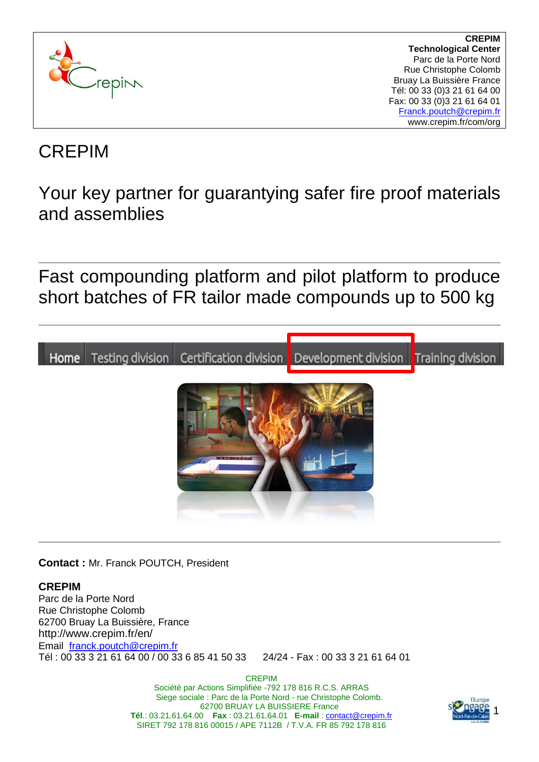

CREPIM

Your key partner for guarantying safer fire proof materials and assemblies

Fast compounding platform and pilot platform to produce short batches of FR tailor made compounds up to 500 kg



**Contact :** Mr. Franck POUTCH, President

#### **CREPIM**

Parc de la Porte Nord Rue Christophe Colomb 62700 Bruay La Buissière, France http://www.crepim.fr/en/ Email [franck.poutch@crepim.fr](mailto:franck.poutch@crepim.fr) Tél : 00 33 3 21 61 64 00 / 00 33 6 85 41 50 33 24/24 - Fax : 00 33 3 21 61 64 01

> CREPIM Société par Actions Simplifiée -792 178 816 R.C.S. ARRAS Siege sociale : Parc de la Porte Nord - rue Christophe Colomb. 62700 BRUAY LA BUISSIERE France **Tél**.: 03.21.61.64.00 **Fax** : 03.21.61.64.01 **E-mail** : [contact@crepim.fr](mailto:contact@crepim.fr) SIRET 792 178 816 00015 / APE 7112B / T.V.A. FR 85 792 178 816

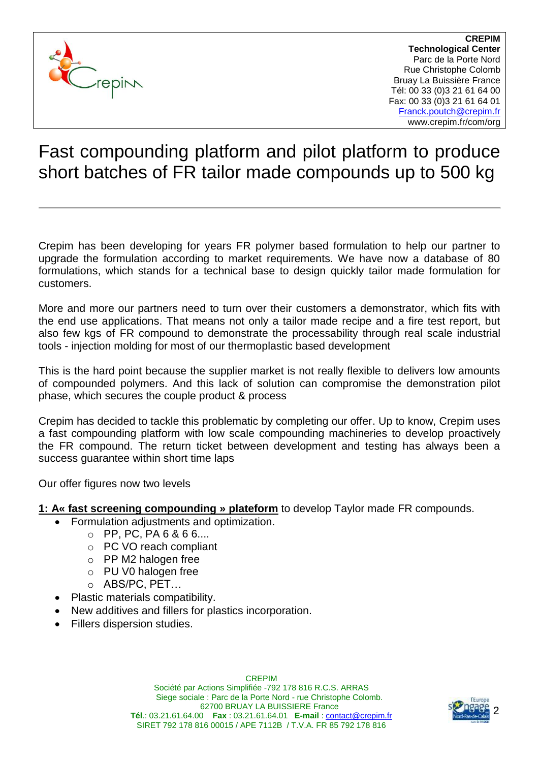

# Fast compounding platform and pilot platform to produce short batches of FR tailor made compounds up to 500 kg

Crepim has been developing for years FR polymer based formulation to help our partner to upgrade the formulation according to market requirements. We have now a database of 80 formulations, which stands for a technical base to design quickly tailor made formulation for customers.

More and more our partners need to turn over their customers a demonstrator, which fits with the end use applications. That means not only a tailor made recipe and a fire test report, but also few kgs of FR compound to demonstrate the processability through real scale industrial tools - injection molding for most of our thermoplastic based development

This is the hard point because the supplier market is not really flexible to delivers low amounts of compounded polymers. And this lack of solution can compromise the demonstration pilot phase, which secures the couple product & process

Crepim has decided to tackle this problematic by completing our offer. Up to know, Crepim uses a fast compounding platform with low scale compounding machineries to develop proactively the FR compound. The return ticket between development and testing has always been a success guarantee within short time laps

Our offer figures now two levels

- **1: A« fast screening compounding » plateform** to develop Taylor made FR compounds.
	- Formulation adjustments and optimization.
		- $O$  PP, PC, PA 6 & 6 6....
			- o PC VO reach compliant
			- o PP M2 halogen free
		- o PU V0 halogen free
		- o ABS/PC, PET…
	- Plastic materials compatibility.
	- New additives and fillers for plastics incorporation.
	- Fillers dispersion studies.

CREPIM Société par Actions Simplifiée -792 178 816 R.C.S. ARRAS Siege sociale : Parc de la Porte Nord - rue Christophe Colomb. 62700 BRUAY LA BUISSIERE France **Tél**.: 03.21.61.64.00 **Fax** : 03.21.61.64.01 **E-mail** : [contact@crepim.fr](mailto:contact@crepim.fr) SIRET 792 178 816 00015 / APE 7112B / T.V.A. FR 85 792 178 816

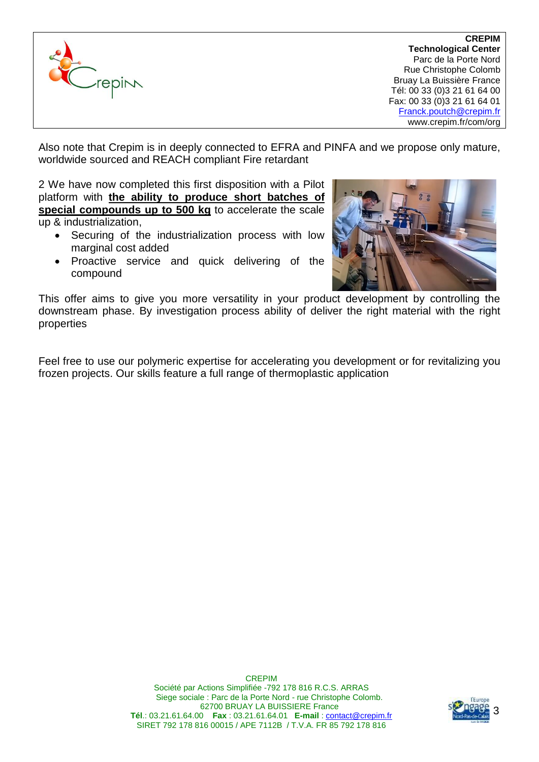

Also note that Crepim is in deeply connected to EFRA and PINFA and we propose only mature, worldwide sourced and REACH compliant Fire retardant

2 We have now completed this first disposition with a Pilot platform with **the ability to produce short batches of special compounds up to 500 kg** to accelerate the scale up & industrialization,

- Securing of the industrialization process with low marginal cost added
- Proactive service and quick delivering of the compound



This offer aims to give you more versatility in your product development by controlling the downstream phase. By investigation process ability of deliver the right material with the right properties

Feel free to use our polymeric expertise for accelerating you development or for revitalizing you frozen projects. Our skills feature a full range of thermoplastic application

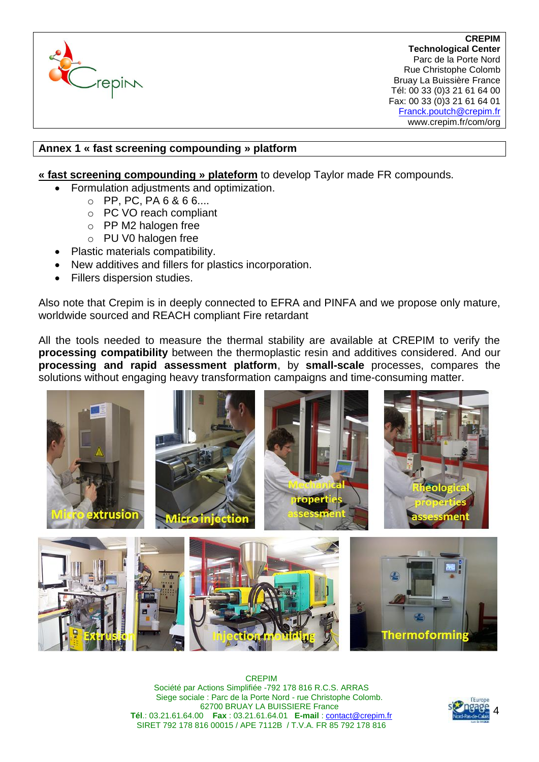

## **Annex 1 « fast screening compounding » platform**

- **« fast screening compounding » plateform** to develop Taylor made FR compounds.
	- Formulation adjustments and optimization.
		- $O$  PP, PC, PA 6 & 6 6...
		- o PC VO reach compliant
		- o PP M2 halogen free
		- o PU V0 halogen free
	- Plastic materials compatibility.
	- New additives and fillers for plastics incorporation.
	- Fillers dispersion studies.

Also note that Crepim is in deeply connected to EFRA and PINFA and we propose only mature, worldwide sourced and REACH compliant Fire retardant

All the tools needed to measure the thermal stability are available at CREPIM to verify the **processing compatibility** between the thermoplastic resin and additives considered. And our **processing and rapid assessment platform**, by **small-scale** processes, compares the solutions without engaging heavy transformation campaigns and time-consuming matter.



CREPIM Société par Actions Simplifiée -792 178 816 R.C.S. ARRAS Siege sociale : Parc de la Porte Nord - rue Christophe Colomb. 62700 BRUAY LA BUISSIERE France **Tél**.: 03.21.61.64.00 **Fax** : 03.21.61.64.01 **E-mail** : [contact@crepim.fr](mailto:contact@crepim.fr) SIRET 792 178 816 00015 / APE 7112B / T.V.A. FR 85 792 178 816

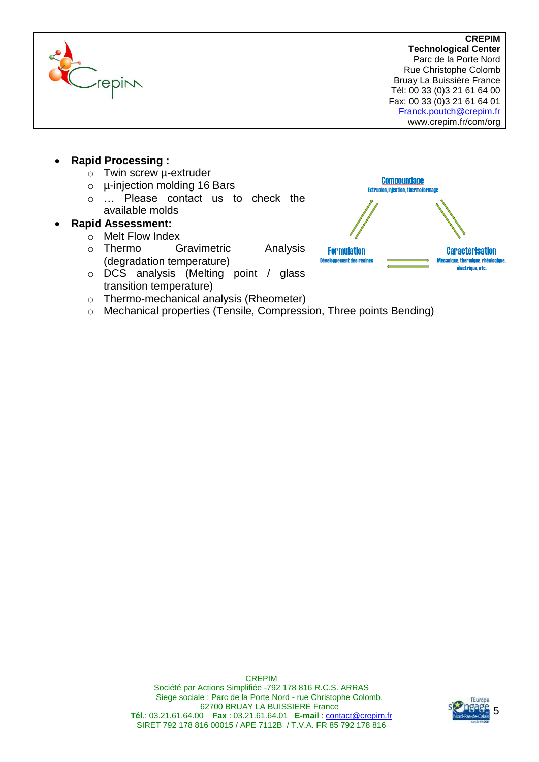

- **Rapid Processing :**
	- o Twin screw µ-extruder
	- o µ-injection molding 16 Bars
	- o … Please contact us to check the available molds

# **Rapid Assessment:**

- o Melt Flow Index
- o Thermo Gravimetric Analysis (degradation temperature)
- o DCS analysis (Melting point / glass transition temperature)
- o Thermo-mechanical analysis (Rheometer)
- o Mechanical properties (Tensile, Compression, Three points Bending)